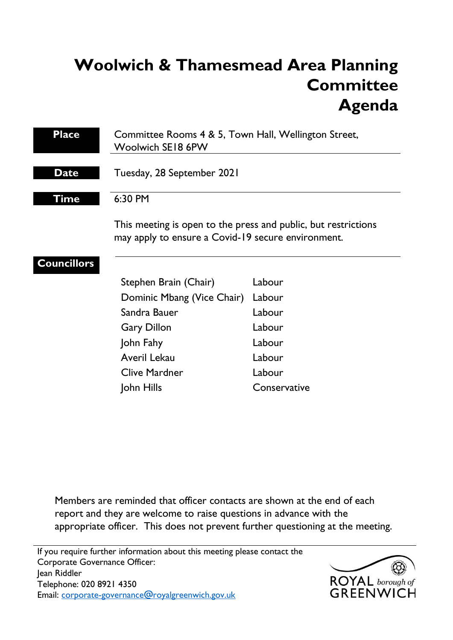# **Woolwich & Thamesmead Area Planning Committee Agenda**

| <b>Place</b>       | Committee Rooms 4 & 5, Town Hall, Wellington Street,<br>Woolwich SE18 6PW                                            |              |
|--------------------|----------------------------------------------------------------------------------------------------------------------|--------------|
| <b>Date</b>        | Tuesday, 28 September 2021                                                                                           |              |
| Time               | 6:30 PM                                                                                                              |              |
|                    | This meeting is open to the press and public, but restrictions<br>may apply to ensure a Covid-19 secure environment. |              |
| <b>Councillors</b> | Stephen Brain (Chair)                                                                                                | Labour       |
|                    | Dominic Mbang (Vice Chair)                                                                                           | Labour       |
|                    | Sandra Bauer                                                                                                         | Labour       |
|                    | <b>Gary Dillon</b>                                                                                                   | Labour       |
|                    | John Fahy                                                                                                            | Labour       |
|                    | Averil Lekau                                                                                                         | Labour       |
|                    | <b>Clive Mardner</b>                                                                                                 | Labour       |
|                    | John Hills                                                                                                           | Conservative |

Members are reminded that officer contacts are shown at the end of each report and they are welcome to raise questions in advance with the appropriate officer. This does not prevent further questioning at the meeting.

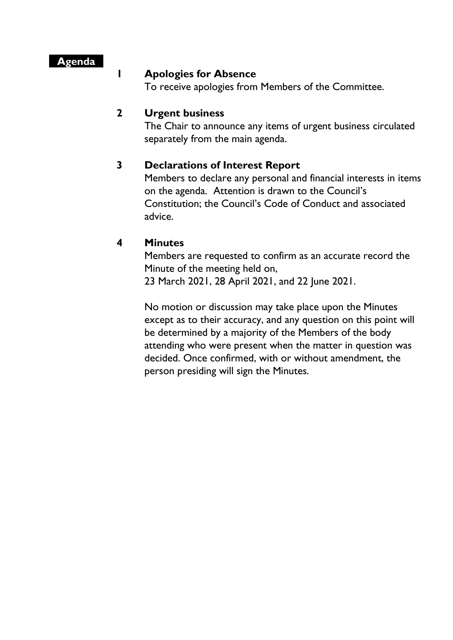## **Agenda**

#### **1 Apologies for Absence**

To receive apologies from Members of the Committee.

## **2 Urgent business**

The Chair to announce any items of urgent business circulated separately from the main agenda.

## **3 Declarations of Interest Report**

Members to declare any personal and financial interests in items on the agenda. Attention is drawn to the Council's Constitution; the Council's Code of Conduct and associated advice.

## **4 Minutes**

Members are requested to confirm as an accurate record the Minute of the meeting held on, 23 March 2021, 28 April 2021, and 22 June 2021.

No motion or discussion may take place upon the Minutes except as to their accuracy, and any question on this point will be determined by a majority of the Members of the body attending who were present when the matter in question was decided. Once confirmed, with or without amendment, the person presiding will sign the Minutes.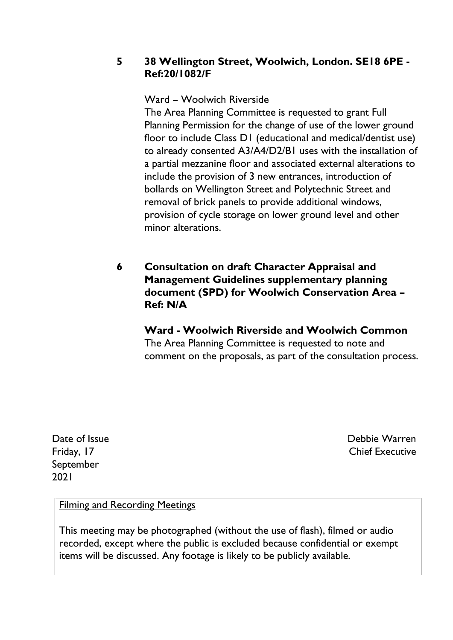## **5 38 Wellington Street, Woolwich, London. SE18 6PE - Ref:20/1082/F**

## Ward – Woolwich Riverside

The Area Planning Committee is requested to grant Full Planning Permission for the change of use of the lower ground floor to include Class D1 (educational and medical/dentist use) to already consented A3/A4/D2/B1 uses with the installation of a partial mezzanine floor and associated external alterations to include the provision of 3 new entrances, introduction of bollards on Wellington Street and Polytechnic Street and removal of brick panels to provide additional windows, provision of cycle storage on lower ground level and other minor alterations.

## **6 Consultation on draft Character Appraisal and Management Guidelines supplementary planning document (SPD) for Woolwich Conservation Area – Ref: N/A**

## **Ward - Woolwich Riverside and Woolwich Common**

The Area Planning Committee is requested to note and comment on the proposals, as part of the consultation process.

Date of Issue Friday, 17 September 2021

Debbie Warren Chief Executive

## Filming and Recording Meetings

This meeting may be photographed (without the use of flash), filmed or audio recorded, except where the public is excluded because confidential or exempt items will be discussed. Any footage is likely to be publicly available.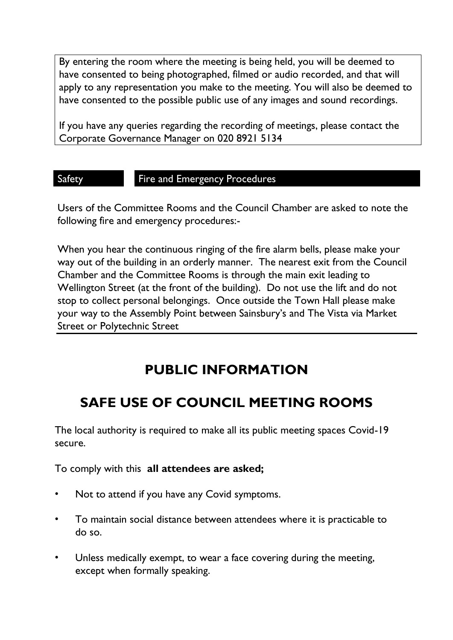By entering the room where the meeting is being held, you will be deemed to have consented to being photographed, filmed or audio recorded, and that will apply to any representation you make to the meeting. You will also be deemed to have consented to the possible public use of any images and sound recordings.

If you have any queries regarding the recording of meetings, please contact the Corporate Governance Manager on 020 8921 5134

#### Safety **Fire and Emergency Procedures**

Users of the Committee Rooms and the Council Chamber are asked to note the following fire and emergency procedures:-

When you hear the continuous ringing of the fire alarm bells, please make your way out of the building in an orderly manner. The nearest exit from the Council Chamber and the Committee Rooms is through the main exit leading to Wellington Street (at the front of the building). Do not use the lift and do not stop to collect personal belongings. Once outside the Town Hall please make your way to the Assembly Point between Sainsbury's and The Vista via Market Street or Polytechnic Street

## **PUBLIC INFORMATION**

## **SAFE USE OF COUNCIL MEETING ROOMS**

The local authority is required to make all its public meeting spaces Covid-19 secure.

To comply with this **all attendees are asked;**

- Not to attend if you have any Covid symptoms.
- To maintain social distance between attendees where it is practicable to do so.
- Unless medically exempt, to wear a face covering during the meeting, except when formally speaking.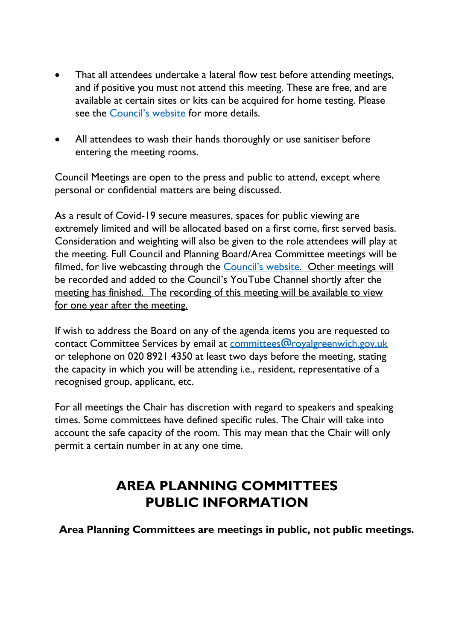- That all attendees undertake a lateral flow test before attending meetings, and if positive you must not attend this meeting. These are free, and are available at certain sites or kits can be acquired for home testing. Please see the [Council's website](https://www.royalgreenwich.gov.uk/info/200329/coronavirus/2287/covid-19_tests_for_people_without_symptoms) for more details.
- All attendees to wash their hands thoroughly or use sanitiser before entering the meeting rooms.

Council Meetings are open to the press and public to attend, except where personal or confidential matters are being discussed.

As a result of Covid-19 secure measures, spaces for public viewing are extremely limited and will be allocated based on a first come, first served basis. Consideration and weighting will also be given to the role attendees will play at the meeting. Full Council and Planning Board/Area Committee meetings will be filmed, for live webcasting through the [Council's website](https://royalgreenwich.public-i.tv/core/portal/home). Other meetings will be recorded and added to the Council's YouTube Channel shortly after the meeting has finished. The recording of this meeting will be available to view for one year after the meeting.

If wish to address the Board on any of the agenda items you are requested to contact Committee Services by email at [committees@royalgreenwich.gov.uk](mailto:committees@royalgreenwich.gov.uk) or telephone on 020 8921 4350 at least two days before the meeting, stating the capacity in which you will be attending i.e., resident, representative of a recognised group, applicant, etc.

For all meetings the Chair has discretion with regard to speakers and speaking times. Some committees have defined specific rules. The Chair will take into account the safe capacity of the room. This may mean that the Chair will only permit a certain number in at any one time.

## **AREA PLANNING COMMITTEES PUBLIC INFORMATION**

**Area Planning Committees are meetings in public, not public meetings.**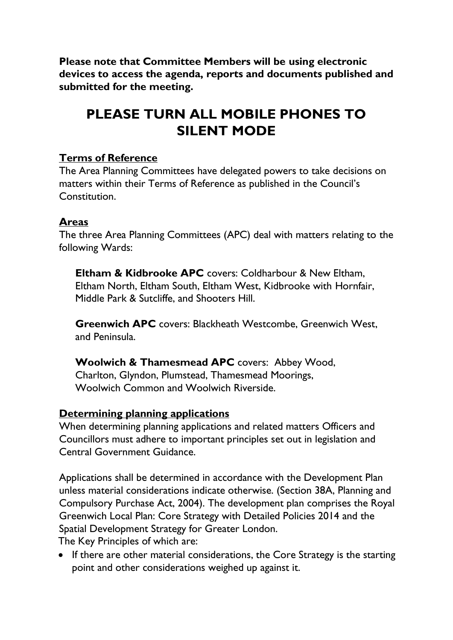**Please note that Committee Members will be using electronic devices to access the agenda, reports and documents published and submitted for the meeting.**

## **PLEASE TURN ALL MOBILE PHONES TO SILENT MODE**

## **Terms of Reference**

The Area Planning Committees have delegated powers to take decisions on matters within their Terms of Reference as published in the Council's Constitution.

## **Areas**

The three Area Planning Committees (APC) deal with matters relating to the following Wards:

**Eltham & Kidbrooke APC** covers: Coldharbour & New Eltham, Eltham North, Eltham South, Eltham West, Kidbrooke with Hornfair, Middle Park & Sutcliffe, and Shooters Hill.

**Greenwich APC** covers: Blackheath Westcombe, Greenwich West, and Peninsula.

**Woolwich & Thamesmead APC** covers: Abbey Wood, Charlton, Glyndon, Plumstead, Thamesmead Moorings, Woolwich Common and Woolwich Riverside.

## **Determining planning applications**

When determining planning applications and related matters Officers and Councillors must adhere to important principles set out in legislation and Central Government Guidance.

Applications shall be determined in accordance with the Development Plan unless material considerations indicate otherwise. (Section 38A, Planning and Compulsory Purchase Act, 2004). The development plan comprises the Royal Greenwich Local Plan: Core Strategy with Detailed Policies 2014 and the Spatial Development Strategy for Greater London.

The Key Principles of which are:

• If there are other material considerations, the Core Strategy is the starting point and other considerations weighed up against it.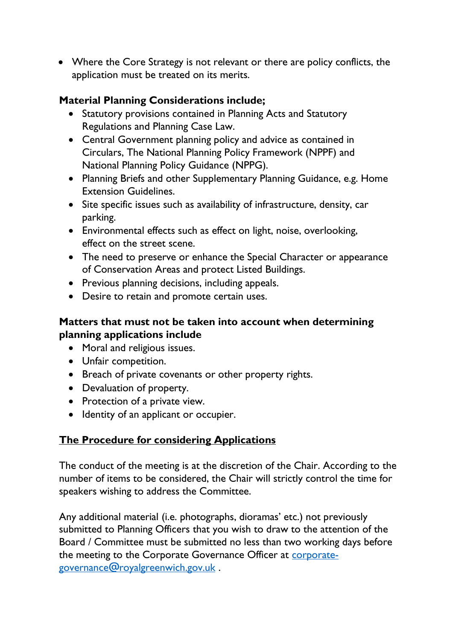• Where the Core Strategy is not relevant or there are policy conflicts, the application must be treated on its merits.

## **Material Planning Considerations include;**

- Statutory provisions contained in Planning Acts and Statutory Regulations and Planning Case Law.
- Central Government planning policy and advice as contained in Circulars, The National Planning Policy Framework (NPPF) and National Planning Policy Guidance (NPPG).
- Planning Briefs and other Supplementary Planning Guidance, e.g. Home Extension Guidelines.
- Site specific issues such as availability of infrastructure, density, car parking.
- Environmental effects such as effect on light, noise, overlooking, effect on the street scene.
- The need to preserve or enhance the Special Character or appearance of Conservation Areas and protect Listed Buildings.
- Previous planning decisions, including appeals.
- Desire to retain and promote certain uses.

## **Matters that must not be taken into account when determining planning applications include**

- Moral and religious issues.
- Unfair competition.
- Breach of private covenants or other property rights.
- Devaluation of property.
- Protection of a private view.
- Identity of an applicant or occupier.

## **The Procedure for considering Applications**

The conduct of the meeting is at the discretion of the Chair. According to the number of items to be considered, the Chair will strictly control the time for speakers wishing to address the Committee.

Any additional material (i.e. photographs, dioramas' etc.) not previously submitted to Planning Officers that you wish to draw to the attention of the Board / Committee must be submitted no less than two working days before the meeting to the Corporate Governance Officer at [corporate](mailto:corporate-governance@royalgreenwich.gov.uk)[governance@royalgreenwich.gov.uk](mailto:corporate-governance@royalgreenwich.gov.uk) .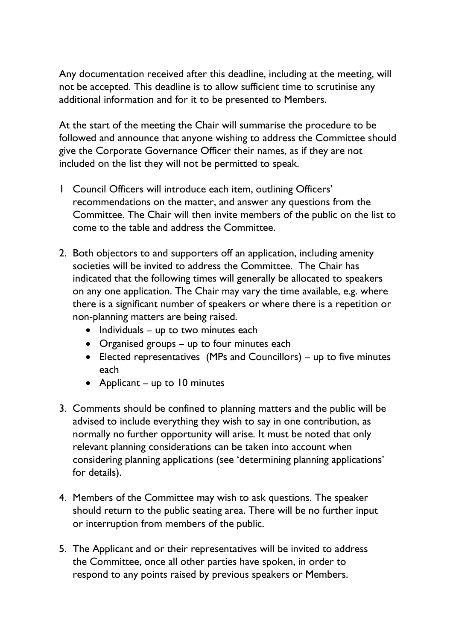Any documentation received after this deadline, including at the meeting, will not be accepted. This deadline is to allow sufficient time to scrutinise any additional information and for it to be presented to Members.

At the start of the meeting the Chair will summarise the procedure to be followed and announce that anyone wishing to address the Committee should give the Corporate Governance Officer their names, as if they are not included on the list they will not be permitted to speak.

- 1 Council Officers will introduce each item, outlining Officers' recommendations on the matter, and answer any questions from the Committee. The Chair will then invite members of the public on the list to come to the table and address the Committee.
- 2. Both objectors to and supporters off an application, including amenity societies will be invited to address the Committee. The Chair has indicated that the following times will generally be allocated to speakers on any one application. The Chair may vary the time available, e.g. where there is a significant number of speakers or where there is a repetition or non-planning matters are being raised.
	- Individuals up to two minutes each
	- Organised groups up to four minutes each
	- Elected representatives (MPs and Councillors) up to five minutes each
	- Applicant up to 10 minutes
- 3. Comments should be confined to planning matters and the public will be advised to include everything they wish to say in one contribution, as normally no further opportunity will arise. It must be noted that only relevant planning considerations can be taken into account when considering planning applications (see 'determining planning applications' for details).
- 4. Members of the Committee may wish to ask questions. The speaker should return to the public seating area. There will be no further input or interruption from members of the public.
- 5. The Applicant and or their representatives will be invited to address the Committee, once all other parties have spoken, in order to respond to any points raised by previous speakers or Members.